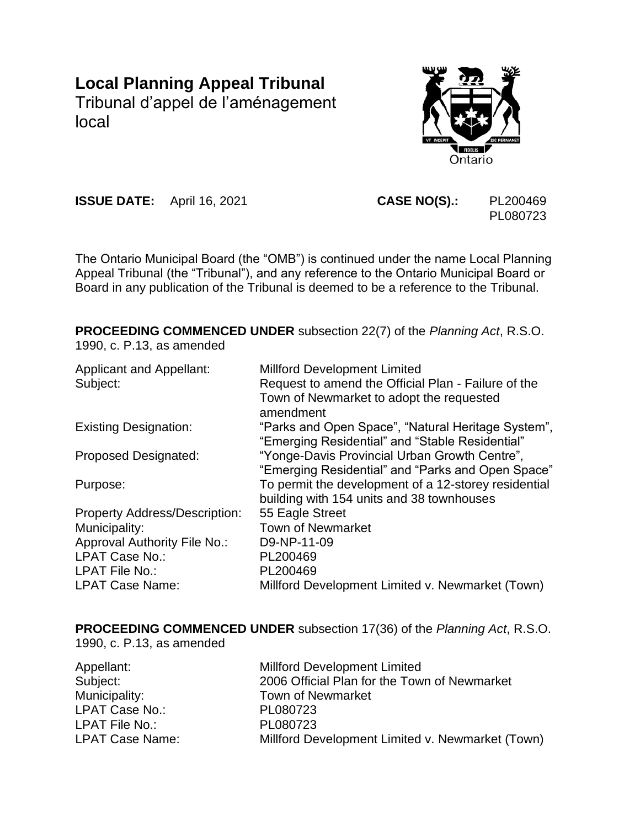# **Local Planning Appeal Tribunal**

Tribunal d'appel de l'aménagement local



**ISSUE DATE:** April 16, 2021 **CASE NO(S).:** PL200469

PL080723

The Ontario Municipal Board (the "OMB") is continued under the name Local Planning Appeal Tribunal (the "Tribunal"), and any reference to the Ontario Municipal Board or Board in any publication of the Tribunal is deemed to be a reference to the Tribunal.

**PROCEEDING COMMENCED UNDER** subsection 22(7) of the *Planning Act*, R.S.O. 1990, c. P.13, as amended

| <b>Applicant and Appellant:</b>      | <b>Millford Development Limited</b>                                                             |
|--------------------------------------|-------------------------------------------------------------------------------------------------|
| Subject:                             | Request to amend the Official Plan - Failure of the<br>Town of Newmarket to adopt the requested |
|                                      | amendment                                                                                       |
| <b>Existing Designation:</b>         | "Parks and Open Space", "Natural Heritage System",                                              |
|                                      | "Emerging Residential" and "Stable Residential"                                                 |
| <b>Proposed Designated:</b>          | "Yonge-Davis Provincial Urban Growth Centre",                                                   |
|                                      | "Emerging Residential" and "Parks and Open Space"                                               |
| Purpose:                             | To permit the development of a 12-storey residential                                            |
|                                      | building with 154 units and 38 townhouses                                                       |
| <b>Property Address/Description:</b> | 55 Eagle Street                                                                                 |
| Municipality:                        | <b>Town of Newmarket</b>                                                                        |
| Approval Authority File No.:         | D9-NP-11-09                                                                                     |
| LPAT Case No.:                       | PL200469                                                                                        |
| <b>LPAT File No.:</b>                | PL200469                                                                                        |
| <b>LPAT Case Name:</b>               | Millford Development Limited v. Newmarket (Town)                                                |

**PROCEEDING COMMENCED UNDER** subsection 17(36) of the *Planning Act*, R.S.O.

1990, c. P.13, as amended

| Appellant:             | <b>Millford Development Limited</b>              |
|------------------------|--------------------------------------------------|
| Subject:               | 2006 Official Plan for the Town of Newmarket     |
| Municipality:          | <b>Town of Newmarket</b>                         |
| LPAT Case No.:         | PL080723                                         |
| LPAT File No.:         | PL080723                                         |
| <b>LPAT Case Name:</b> | Millford Development Limited v. Newmarket (Town) |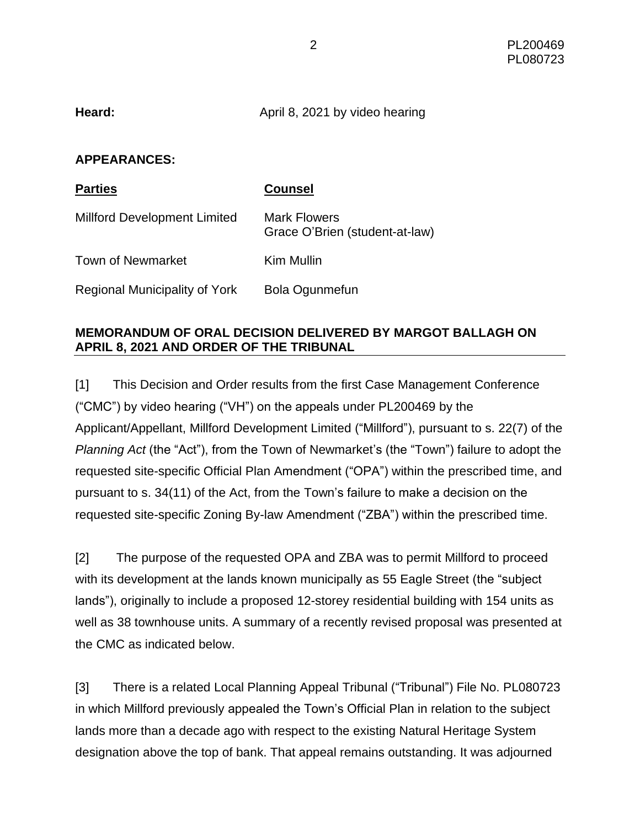| Heard: | April 8, 2021 by video hearing |
|--------|--------------------------------|
|--------|--------------------------------|

#### **APPEARANCES:**

| <b>Parties</b>                      | <b>Counsel</b>                                        |
|-------------------------------------|-------------------------------------------------------|
| <b>Millford Development Limited</b> | <b>Mark Flowers</b><br>Grace O'Brien (student-at-law) |
| <b>Town of Newmarket</b>            | Kim Mullin                                            |
| Regional Municipality of York       | Bola Ogunmefun                                        |

## **MEMORANDUM OF ORAL DECISION DELIVERED BY MARGOT BALLAGH ON APRIL 8, 2021 AND ORDER OF THE TRIBUNAL**

[1] This Decision and Order results from the first Case Management Conference ("CMC") by video hearing ("VH") on the appeals under PL200469 by the Applicant/Appellant, Millford Development Limited ("Millford"), pursuant to s. 22(7) of the *Planning Act* (the "Act"), from the Town of Newmarket's (the "Town") failure to adopt the requested site-specific Official Plan Amendment ("OPA") within the prescribed time, and pursuant to s. 34(11) of the Act, from the Town's failure to make a decision on the requested site-specific Zoning By-law Amendment ("ZBA") within the prescribed time.

[2] The purpose of the requested OPA and ZBA was to permit Millford to proceed with its development at the lands known municipally as 55 Eagle Street (the "subject lands"), originally to include a proposed 12-storey residential building with 154 units as well as 38 townhouse units. A summary of a recently revised proposal was presented at the CMC as indicated below.

[3] There is a related Local Planning Appeal Tribunal ("Tribunal") File No. PL080723 in which Millford previously appealed the Town's Official Plan in relation to the subject lands more than a decade ago with respect to the existing Natural Heritage System designation above the top of bank. That appeal remains outstanding. It was adjourned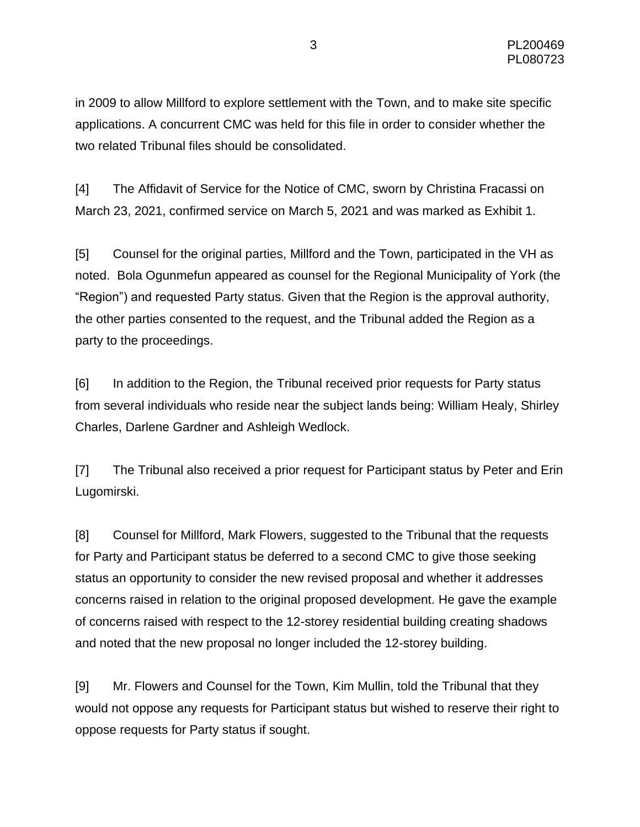in 2009 to allow Millford to explore settlement with the Town, and to make site specific applications. A concurrent CMC was held for this file in order to consider whether the two related Tribunal files should be consolidated.

[4] The Affidavit of Service for the Notice of CMC, sworn by Christina Fracassi on March 23, 2021, confirmed service on March 5, 2021 and was marked as Exhibit 1.

[5] Counsel for the original parties, Millford and the Town, participated in the VH as noted. Bola Ogunmefun appeared as counsel for the Regional Municipality of York (the "Region") and requested Party status. Given that the Region is the approval authority, the other parties consented to the request, and the Tribunal added the Region as a party to the proceedings.

[6] In addition to the Region, the Tribunal received prior requests for Party status from several individuals who reside near the subject lands being: William Healy, Shirley Charles, Darlene Gardner and Ashleigh Wedlock.

[7] The Tribunal also received a prior request for Participant status by Peter and Erin Lugomirski.

[8] Counsel for Millford, Mark Flowers, suggested to the Tribunal that the requests for Party and Participant status be deferred to a second CMC to give those seeking status an opportunity to consider the new revised proposal and whether it addresses concerns raised in relation to the original proposed development. He gave the example of concerns raised with respect to the 12-storey residential building creating shadows and noted that the new proposal no longer included the 12-storey building.

[9] Mr. Flowers and Counsel for the Town, Kim Mullin, told the Tribunal that they would not oppose any requests for Participant status but wished to reserve their right to oppose requests for Party status if sought.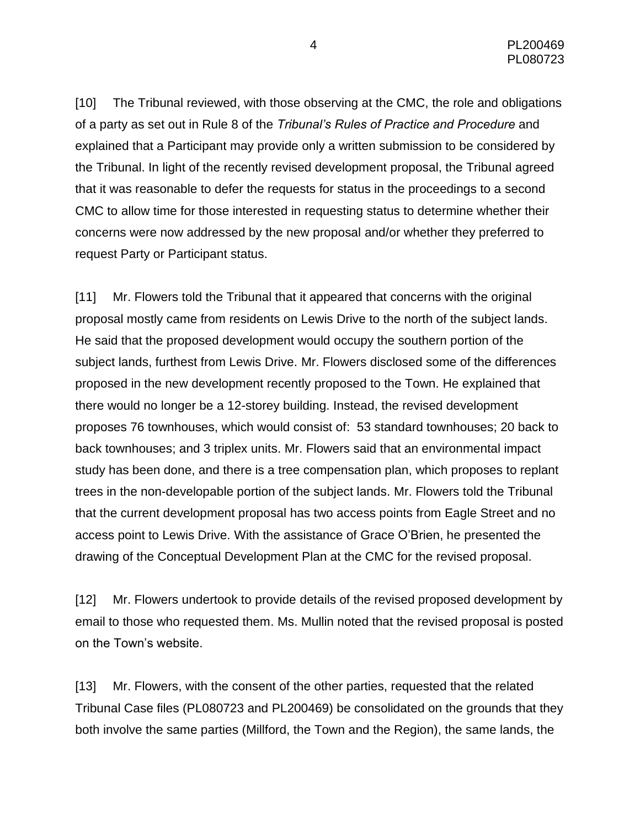[10] The Tribunal reviewed, with those observing at the CMC, the role and obligations of a party as set out in Rule 8 of the *Tribunal's Rules of Practice and Procedure* and explained that a Participant may provide only a written submission to be considered by the Tribunal. In light of the recently revised development proposal, the Tribunal agreed that it was reasonable to defer the requests for status in the proceedings to a second CMC to allow time for those interested in requesting status to determine whether their concerns were now addressed by the new proposal and/or whether they preferred to request Party or Participant status.

[11] Mr. Flowers told the Tribunal that it appeared that concerns with the original proposal mostly came from residents on Lewis Drive to the north of the subject lands. He said that the proposed development would occupy the southern portion of the subject lands, furthest from Lewis Drive. Mr. Flowers disclosed some of the differences proposed in the new development recently proposed to the Town. He explained that there would no longer be a 12-storey building. Instead, the revised development proposes 76 townhouses, which would consist of: 53 standard townhouses; 20 back to back townhouses; and 3 triplex units. Mr. Flowers said that an environmental impact study has been done, and there is a tree compensation plan, which proposes to replant trees in the non-developable portion of the subject lands. Mr. Flowers told the Tribunal that the current development proposal has two access points from Eagle Street and no access point to Lewis Drive. With the assistance of Grace O'Brien, he presented the drawing of the Conceptual Development Plan at the CMC for the revised proposal.

[12] Mr. Flowers undertook to provide details of the revised proposed development by email to those who requested them. Ms. Mullin noted that the revised proposal is posted on the Town's website.

[13] Mr. Flowers, with the consent of the other parties, requested that the related Tribunal Case files (PL080723 and PL200469) be consolidated on the grounds that they both involve the same parties (Millford, the Town and the Region), the same lands, the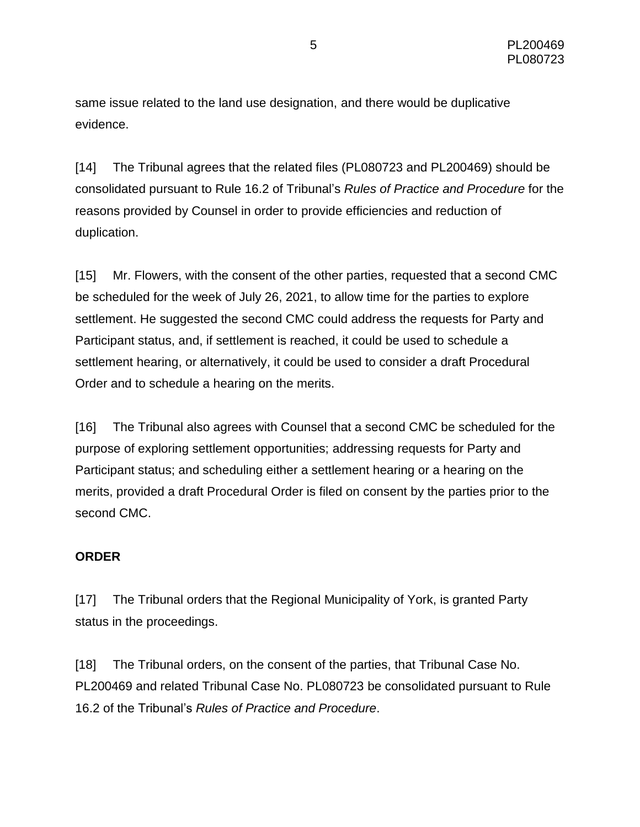same issue related to the land use designation, and there would be duplicative evidence.

[14] The Tribunal agrees that the related files (PL080723 and PL200469) should be consolidated pursuant to Rule 16.2 of Tribunal's *Rules of Practice and Procedure* for the reasons provided by Counsel in order to provide efficiencies and reduction of duplication.

[15] Mr. Flowers, with the consent of the other parties, requested that a second CMC be scheduled for the week of July 26, 2021, to allow time for the parties to explore settlement. He suggested the second CMC could address the requests for Party and Participant status, and, if settlement is reached, it could be used to schedule a settlement hearing, or alternatively, it could be used to consider a draft Procedural Order and to schedule a hearing on the merits.

[16] The Tribunal also agrees with Counsel that a second CMC be scheduled for the purpose of exploring settlement opportunities; addressing requests for Party and Participant status; and scheduling either a settlement hearing or a hearing on the merits, provided a draft Procedural Order is filed on consent by the parties prior to the second CMC.

# **ORDER**

[17] The Tribunal orders that the Regional Municipality of York, is granted Party status in the proceedings.

[18] The Tribunal orders, on the consent of the parties, that Tribunal Case No. PL200469 and related Tribunal Case No. PL080723 be consolidated pursuant to Rule 16.2 of the Tribunal's *Rules of Practice and Procedure*.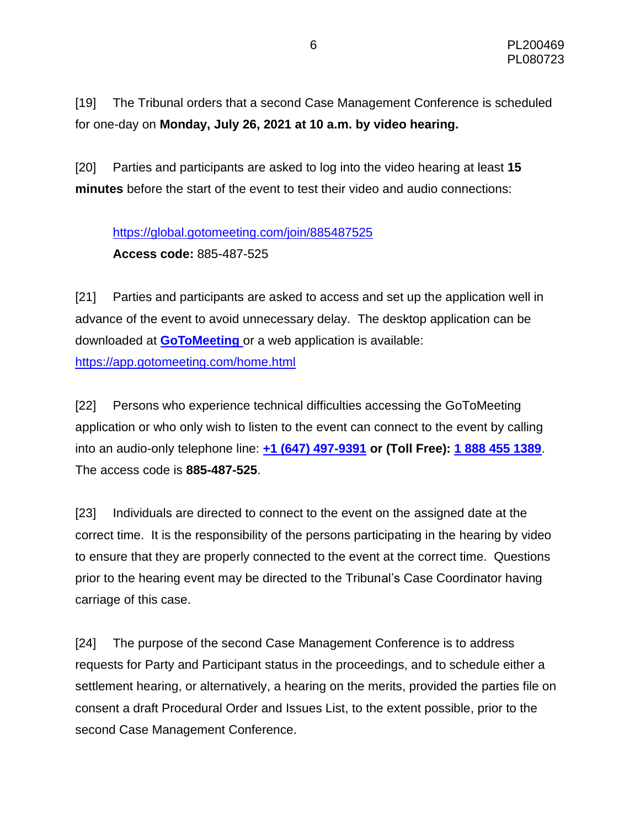[19] The Tribunal orders that a second Case Management Conference is scheduled for one-day on **Monday, July 26, 2021 at 10 a.m. by video hearing.**

[20] Parties and participants are asked to log into the video hearing at least **15 minutes** before the start of the event to test their video and audio connections:

# <https://global.gotomeeting.com/join/885487525> **Access code:** 885-487-525

[21] Parties and participants are asked to access and set up the application well in advance of the event to avoid unnecessary delay. The desktop application can be downloaded at **[GoToMeeting](https://global.gotomeeting.com/install)** or a web application is available: <https://app.gotomeeting.com/home.html>

[22] Persons who experience technical difficulties accessing the GoToMeeting application or who only wish to listen to the event can connect to the event by calling into an audio-only telephone line: **[+1 \(647\) 497-9391](tel:+16474979391,,885487525) or (Toll Free): [1 888 455 1389](tel:+18884551389,,885487525)**. The access code is **885-487-525**.

[23] Individuals are directed to connect to the event on the assigned date at the correct time. It is the responsibility of the persons participating in the hearing by video to ensure that they are properly connected to the event at the correct time. Questions prior to the hearing event may be directed to the Tribunal's Case Coordinator having carriage of this case.

[24] The purpose of the second Case Management Conference is to address requests for Party and Participant status in the proceedings, and to schedule either a settlement hearing, or alternatively, a hearing on the merits, provided the parties file on consent a draft Procedural Order and Issues List, to the extent possible, prior to the second Case Management Conference.